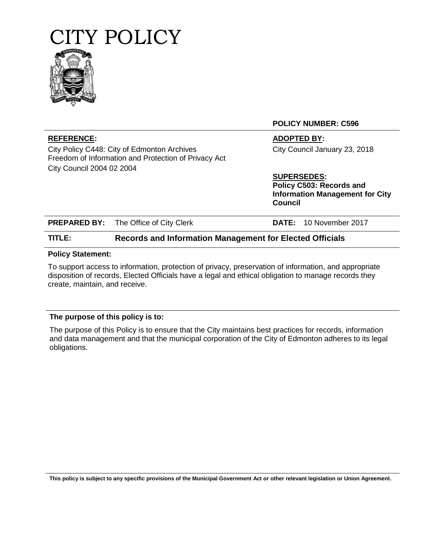



**POLICY NUMBER: C596**

City Policy C448: City of Edmonton Archives Freedom of Information and Protection of Privacy Act City Council 2004 02 2004

**REFERENCE: ADOPTED BY:** City Council January 23, 2018

**SUPERSEDES:**

**Policy C503: Records and Information Management for City Council**

| TITLE: | <b>Records and Information Management for Elected Officials</b> |  |                               |  |
|--------|-----------------------------------------------------------------|--|-------------------------------|--|
|        | <b>PREPARED BY:</b> The Office of City Clerk                    |  | <b>DATE:</b> 10 November 2017 |  |

## **Policy Statement:**

To support access to information, protection of privacy, preservation of information, and appropriate disposition of records, Elected Officials have a legal and ethical obligation to manage records they create, maintain, and receive.

# **The purpose of this policy is to:**

The purpose of this Policy is to ensure that the City maintains best practices for records, information and data management and that the municipal corporation of the City of Edmonton adheres to its legal obligations.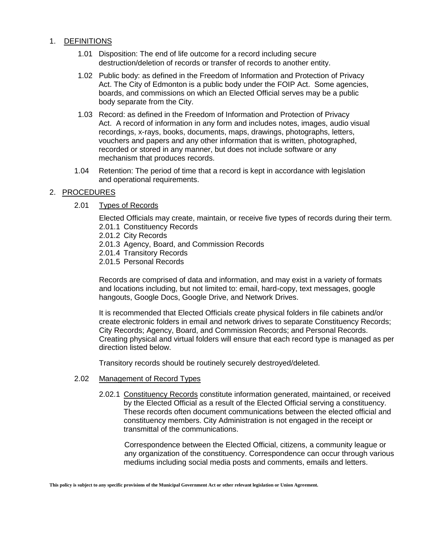## 1. DEFINITIONS

- 1.01 Disposition: The end of life outcome for a record including secure destruction/deletion of records or transfer of records to another entity.
- 1.02 Public body: as defined in the Freedom of Information and Protection of Privacy Act. The City of Edmonton is a public body under the FOIP Act. Some agencies, boards, and commissions on which an Elected Official serves may be a public body separate from the City.
- 1.03 Record: as defined in the Freedom of Information and Protection of Privacy Act. A record of information in any form and includes notes, images, audio visual recordings, x-rays, books, documents, maps, drawings, photographs, letters, vouchers and papers and any other information that is written, photographed, recorded or stored in any manner, but does not include software or any mechanism that produces records.
- 1.04 Retention: The period of time that a record is kept in accordance with legislation and operational requirements.

## 2. PROCEDURES

## 2.01 Types of Records

Elected Officials may create, maintain, or receive five types of records during their term. 2.01.1 Constituency Records

- 2.01.2 City Records
- 2.01.3 Agency, Board, and Commission Records
- 2.01.4 Transitory Records
- 2.01.5 Personal Records

Records are comprised of data and information, and may exist in a variety of formats and locations including, but not limited to: email, hard-copy, text messages, google hangouts, Google Docs, Google Drive, and Network Drives.

It is recommended that Elected Officials create physical folders in file cabinets and/or create electronic folders in email and network drives to separate Constituency Records; City Records; Agency, Board, and Commission Records; and Personal Records. Creating physical and virtual folders will ensure that each record type is managed as per direction listed below.

Transitory records should be routinely securely destroyed/deleted.

## 2.02 Management of Record Types

2.02.1 Constituency Records constitute information generated, maintained, or received by the Elected Official as a result of the Elected Official serving a constituency. These records often document communications between the elected official and constituency members. City Administration is not engaged in the receipt or transmittal of the communications.

 Correspondence between the Elected Official, citizens, a community league or any organization of the constituency. Correspondence can occur through various mediums including social media posts and comments, emails and letters.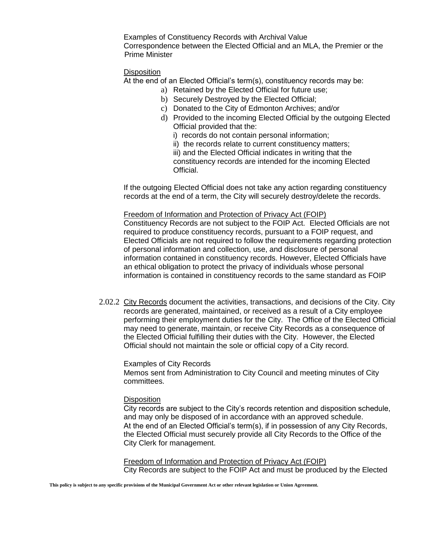Examples of Constituency Records with Archival Value Correspondence between the Elected Official and an MLA, the Premier or the Prime Minister

#### **Disposition**

At the end of an Elected Official's term(s), constituency records may be:

- a) Retained by the Elected Official for future use;
- b) Securely Destroyed by the Elected Official;
- c) Donated to the City of Edmonton Archives; and/or
- d) Provided to the incoming Elected Official by the outgoing Elected Official provided that the:
	- i) records do not contain personal information;

ii) the records relate to current constituency matters; iii) and the Elected Official indicates in writing that the constituency records are intended for the incoming Elected Official.

If the outgoing Elected Official does not take any action regarding constituency records at the end of a term, the City will securely destroy/delete the records.

Freedom of Information and Protection of Privacy Act (FOIP) Constituency Records are not subject to the FOIP Act. Elected Officials are not required to produce constituency records, pursuant to a FOIP request, and Elected Officials are not required to follow the requirements regarding protection of personal information and collection, use, and disclosure of personal information contained in constituency records. However, Elected Officials have an ethical obligation to protect the privacy of individuals whose personal information is contained in constituency records to the same standard as FOIP

2.02.2 City Records document the activities, transactions, and decisions of the City. City records are generated, maintained, or received as a result of a City employee performing their employment duties for the City. The Office of the Elected Official may need to generate, maintain, or receive City Records as a consequence of the Elected Official fulfilling their duties with the City. However, the Elected Official should not maintain the sole or official copy of a City record.

Examples of City Records Memos sent from Administration to City Council and meeting minutes of City committees.

## **Disposition**

City records are subject to the City's records retention and disposition schedule, and may only be disposed of in accordance with an approved schedule. At the end of an Elected Official's term(s), if in possession of any City Records, the Elected Official must securely provide all City Records to the Office of the City Clerk for management.

Freedom of Information and Protection of Privacy Act (FOIP) City Records are subject to the FOIP Act and must be produced by the Elected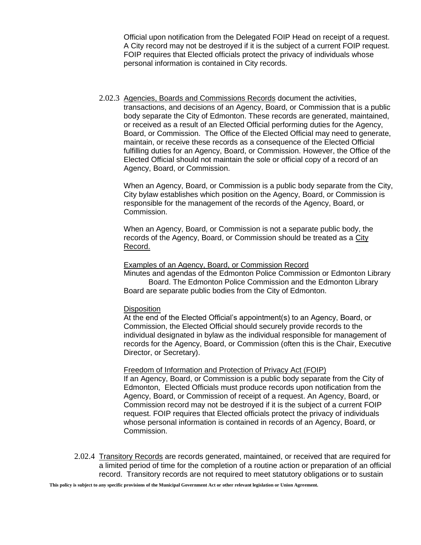Official upon notification from the Delegated FOIP Head on receipt of a request. A City record may not be destroyed if it is the subject of a current FOIP request. FOIP requires that Elected officials protect the privacy of individuals whose personal information is contained in City records.

2.02.3 Agencies, Boards and Commissions Records document the activities, transactions, and decisions of an Agency, Board, or Commission that is a public body separate the City of Edmonton. These records are generated, maintained, or received as a result of an Elected Official performing duties for the Agency, Board, or Commission. The Office of the Elected Official may need to generate, maintain, or receive these records as a consequence of the Elected Official fulfilling duties for an Agency, Board, or Commission. However, the Office of the Elected Official should not maintain the sole or official copy of a record of an Agency, Board, or Commission.

When an Agency, Board, or Commission is a public body separate from the City, City bylaw establishes which position on the Agency, Board, or Commission is responsible for the management of the records of the Agency, Board, or Commission.

When an Agency, Board, or Commission is not a separate public body, the records of the Agency, Board, or Commission should be treated as a City Record.

### Examples of an Agency, Board, or Commission Record

Minutes and agendas of the Edmonton Police Commission or Edmonton Library Board. The Edmonton Police Commission and the Edmonton Library Board are separate public bodies from the City of Edmonton.

#### **Disposition**

At the end of the Elected Official's appointment(s) to an Agency, Board, or Commission, the Elected Official should securely provide records to the individual designated in bylaw as the individual responsible for management of records for the Agency, Board, or Commission (often this is the Chair, Executive Director, or Secretary).

#### Freedom of Information and Protection of Privacy Act (FOIP)

If an Agency, Board, or Commission is a public body separate from the City of Edmonton, Elected Officials must produce records upon notification from the Agency, Board, or Commission of receipt of a request. An Agency, Board, or Commission record may not be destroyed if it is the subject of a current FOIP request. FOIP requires that Elected officials protect the privacy of individuals whose personal information is contained in records of an Agency, Board, or Commission.

2.02.4 Transitory Records are records generated, maintained, or received that are required for a limited period of time for the completion of a routine action or preparation of an official record. Transitory records are not required to meet statutory obligations or to sustain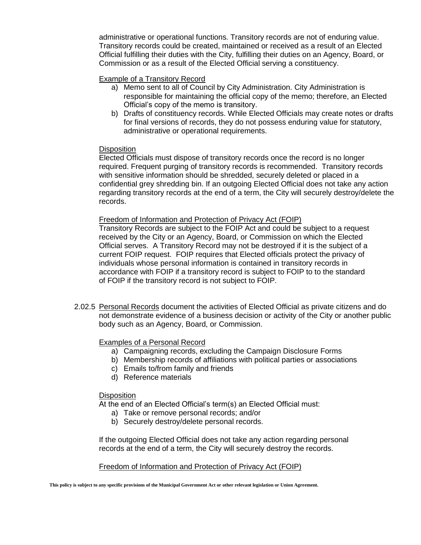administrative or operational functions. Transitory records are not of enduring value. Transitory records could be created, maintained or received as a result of an Elected Official fulfilling their duties with the City, fulfilling their duties on an Agency, Board, or Commission or as a result of the Elected Official serving a constituency.

## Example of a Transitory Record

- a) Memo sent to all of Council by City Administration. City Administration is responsible for maintaining the official copy of the memo; therefore, an Elected Official's copy of the memo is transitory.
- b) Drafts of constituency records. While Elected Officials may create notes or drafts for final versions of records, they do not possess enduring value for statutory, administrative or operational requirements.

## **Disposition**

Elected Officials must dispose of transitory records once the record is no longer required. Frequent purging of transitory records is recommended. Transitory records with sensitive information should be shredded, securely deleted or placed in a confidential grey shredding bin. If an outgoing Elected Official does not take any action regarding transitory records at the end of a term, the City will securely destroy/delete the records.

## Freedom of Information and Protection of Privacy Act (FOIP)

Transitory Records are subject to the FOIP Act and could be subject to a request received by the City or an Agency, Board, or Commission on which the Elected Official serves. A Transitory Record may not be destroyed if it is the subject of a current FOIP request. FOIP requires that Elected officials protect the privacy of individuals whose personal information is contained in transitory records in accordance with FOIP if a transitory record is subject to FOIP to to the standard of FOIP if the transitory record is not subject to FOIP.

2.02.5 Personal Records document the activities of Elected Official as private citizens and do not demonstrate evidence of a business decision or activity of the City or another public body such as an Agency, Board, or Commission.

# Examples of a Personal Record

- a) Campaigning records, excluding the Campaign Disclosure Forms
- b) Membership records of affiliations with political parties or associations
- c) Emails to/from family and friends
- d) Reference materials

## **Disposition**

At the end of an Elected Official's term(s) an Elected Official must:

- a) Take or remove personal records; and/or
- b) Securely destroy/delete personal records.

If the outgoing Elected Official does not take any action regarding personal records at the end of a term, the City will securely destroy the records.

## Freedom of Information and Protection of Privacy Act (FOIP)